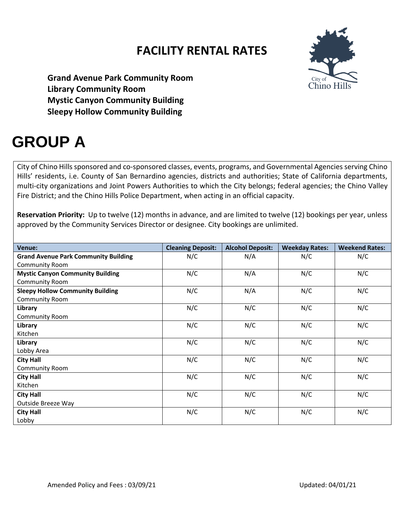

**Grand Avenue Park Community Room Library Community Room Mystic Canyon Community Building Sleepy Hollow Community Building**

# **GROUP A**

City of Chino Hills sponsored and co-sponsored classes, events, programs, and Governmental Agencies serving Chino Hills' residents, i.e. County of San Bernardino agencies, districts and authorities; State of California departments, multi-city organizations and Joint Powers Authorities to which the City belongs; federal agencies; the Chino Valley Fire District; and the Chino Hills Police Department, when acting in an official capacity.

**Reservation Priority:** Up to twelve (12) months in advance, and are limited to twelve (12) bookings per year, unless approved by the Community Services Director or designee. City bookings are unlimited.

| <b>Venue:</b>                               | <b>Cleaning Deposit:</b> | <b>Alcohol Deposit:</b> | <b>Weekday Rates:</b> | <b>Weekend Rates:</b> |
|---------------------------------------------|--------------------------|-------------------------|-----------------------|-----------------------|
| <b>Grand Avenue Park Community Building</b> | N/C                      | N/A                     | N/C                   | N/C                   |
| <b>Community Room</b>                       |                          |                         |                       |                       |
| <b>Mystic Canyon Community Building</b>     | N/C                      | N/A                     | N/C                   | N/C                   |
| Community Room                              |                          |                         |                       |                       |
| <b>Sleepy Hollow Community Building</b>     | N/C                      | N/A                     | N/C                   | N/C                   |
| Community Room                              |                          |                         |                       |                       |
| Library                                     | N/C                      | N/C                     | N/C                   | N/C                   |
| <b>Community Room</b>                       |                          |                         |                       |                       |
| Library                                     | N/C                      | N/C                     | N/C                   | N/C                   |
| Kitchen                                     |                          |                         |                       |                       |
| Library                                     | N/C                      | N/C                     | N/C                   | N/C                   |
| Lobby Area                                  |                          |                         |                       |                       |
| <b>City Hall</b>                            | N/C                      | N/C                     | N/C                   | N/C                   |
| Community Room                              |                          |                         |                       |                       |
| <b>City Hall</b>                            | N/C                      | N/C                     | N/C                   | N/C                   |
| Kitchen                                     |                          |                         |                       |                       |
| <b>City Hall</b>                            | N/C                      | N/C                     | N/C                   | N/C                   |
| Outside Breeze Way                          |                          |                         |                       |                       |
| <b>City Hall</b>                            | N/C                      | N/C                     | N/C                   | N/C                   |
| Lobby                                       |                          |                         |                       |                       |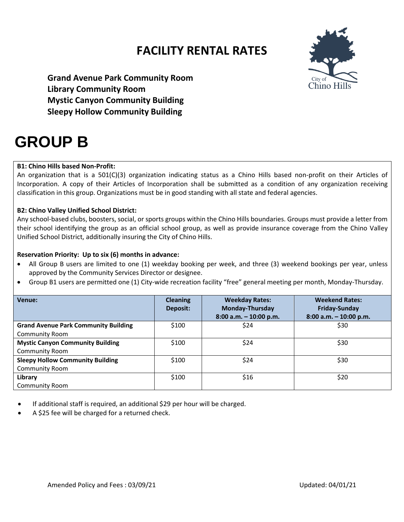

**Grand Avenue Park Community Room Library Community Room Mystic Canyon Community Building Sleepy Hollow Community Building**

## **GROUP B**

### **B1: Chino Hills based Non-Profit:**

An organization that is a 501(C)(3) organization indicating status as a Chino Hills based non-profit on their Articles of Incorporation. A copy of their Articles of Incorporation shall be submitted as a condition of any organization receiving classification in this group. Organizations must be in good standing with all state and federal agencies.

#### **B2: Chino Valley Unified School District:**

Any school-based clubs, boosters, social, or sports groups within the Chino Hills boundaries. Groups must provide a letter from their school identifying the group as an official school group, as well as provide insurance coverage from the Chino Valley Unified School District, additionally insuring the City of Chino Hills.

#### **Reservation Priority: Up to six (6) months in advance:**

- All Group B users are limited to one (1) weekday booking per week, and three (3) weekend bookings per year, unless approved by the Community Services Director or designee.
- Group B1 users are permitted one (1) City-wide recreation facility "free" general meeting per month, Monday-Thursday.

| Venue:                                      | <b>Cleaning</b><br>Deposit: | <b>Weekday Rates:</b><br><b>Monday-Thursday</b><br>$8:00$ a.m. $-10:00$ p.m. | <b>Weekend Rates:</b><br><b>Friday-Sunday</b><br>$8:00$ a.m. $-10:00$ p.m. |
|---------------------------------------------|-----------------------------|------------------------------------------------------------------------------|----------------------------------------------------------------------------|
| <b>Grand Avenue Park Community Building</b> | \$100                       | \$24                                                                         | \$30                                                                       |
| <b>Community Room</b>                       |                             |                                                                              |                                                                            |
| <b>Mystic Canyon Community Building</b>     | \$100                       | \$24                                                                         | \$30                                                                       |
| <b>Community Room</b>                       |                             |                                                                              |                                                                            |
| <b>Sleepy Hollow Community Building</b>     | \$100                       | \$24                                                                         | \$30                                                                       |
| Community Room                              |                             |                                                                              |                                                                            |
| Library                                     | \$100                       | \$16                                                                         | \$20                                                                       |
| <b>Community Room</b>                       |                             |                                                                              |                                                                            |

- If additional staff is required, an additional \$29 per hour will be charged.
- A \$25 fee will be charged for a returned check.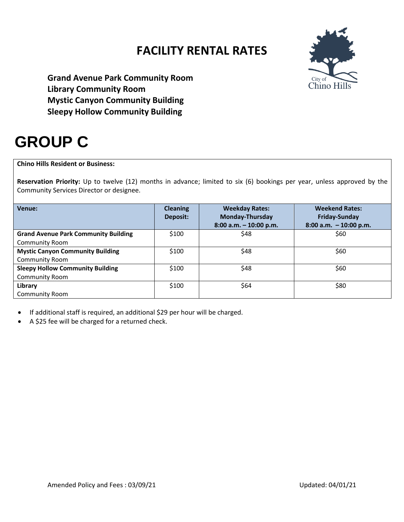

**Grand Avenue Park Community Room Library Community Room Mystic Canyon Community Building Sleepy Hollow Community Building**

# **GROUP C**

### **Chino Hills Resident or Business:**

**Reservation Priority:** Up to twelve (12) months in advance; limited to six (6) bookings per year, unless approved by the Community Services Director or designee.

| Venue:                                      | <b>Cleaning</b><br><b>Deposit:</b> | <b>Weekday Rates:</b><br><b>Monday-Thursday</b><br>$8:00$ a.m. $-10:00$ p.m. | <b>Weekend Rates:</b><br><b>Friday-Sunday</b><br>$8:00$ a.m. $-10:00$ p.m. |
|---------------------------------------------|------------------------------------|------------------------------------------------------------------------------|----------------------------------------------------------------------------|
| <b>Grand Avenue Park Community Building</b> | \$100                              | \$48                                                                         | \$60                                                                       |
| <b>Community Room</b>                       |                                    |                                                                              |                                                                            |
| <b>Mystic Canyon Community Building</b>     | \$100                              | \$48                                                                         | \$60                                                                       |
| <b>Community Room</b>                       |                                    |                                                                              |                                                                            |
| <b>Sleepy Hollow Community Building</b>     | \$100                              | \$48                                                                         | \$60                                                                       |
| <b>Community Room</b>                       |                                    |                                                                              |                                                                            |
| Library                                     | \$100                              | \$64                                                                         | \$80                                                                       |
| <b>Community Room</b>                       |                                    |                                                                              |                                                                            |

- If additional staff is required, an additional \$29 per hour will be charged.
- A \$25 fee will be charged for a returned check.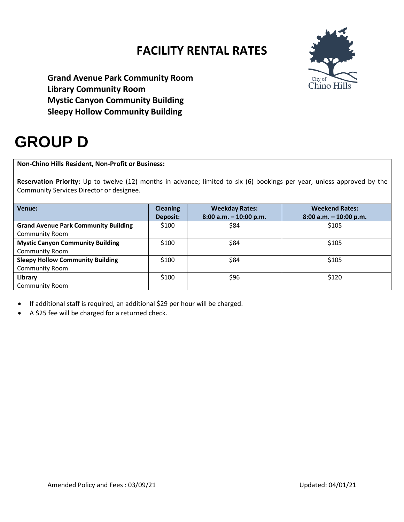

**Grand Avenue Park Community Room Library Community Room Mystic Canyon Community Building Sleepy Hollow Community Building**

## **GROUP D**

### **Non-Chino Hills Resident, Non-Profit or Business:**

**Reservation Priority:** Up to twelve (12) months in advance; limited to six (6) bookings per year, unless approved by the Community Services Director or designee.

| Venue:                                      | <b>Cleaning</b> | <b>Weekday Rates:</b>  | <b>Weekend Rates:</b>     |
|---------------------------------------------|-----------------|------------------------|---------------------------|
|                                             | Deposit:        | 8:00 a.m. - 10:00 p.m. | $8:00$ a.m. $-10:00$ p.m. |
| <b>Grand Avenue Park Community Building</b> | \$100           | \$84                   | \$105                     |
| <b>Community Room</b>                       |                 |                        |                           |
| <b>Mystic Canyon Community Building</b>     | \$100           | \$84                   | \$105                     |
| Community Room                              |                 |                        |                           |
| <b>Sleepy Hollow Community Building</b>     | \$100           | \$84                   | \$105                     |
| Community Room                              |                 |                        |                           |
| Library                                     | \$100           | \$96                   | \$120                     |
| <b>Community Room</b>                       |                 |                        |                           |

- If additional staff is required, an additional \$29 per hour will be charged.
- A \$25 fee will be charged for a returned check.